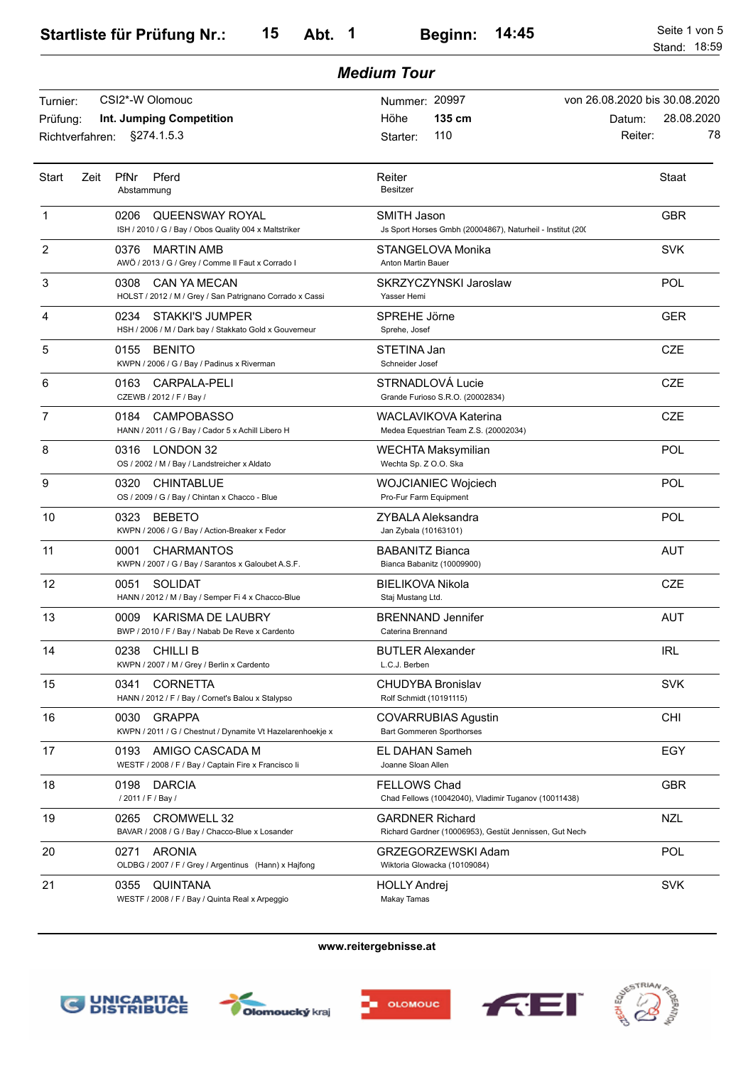| <b>Medium Tour</b>   |      |                                                                                         |                                                                                   |                                                       |
|----------------------|------|-----------------------------------------------------------------------------------------|-----------------------------------------------------------------------------------|-------------------------------------------------------|
| Turnier:<br>Prüfung: |      | CSI2*-W Olomouc<br>Int. Jumping Competition                                             | Nummer: 20997<br>Höhe<br>135 cm                                                   | von 26.08.2020 bis 30.08.2020<br>28.08.2020<br>Datum: |
| Richtverfahren:      |      | §274.1.5.3                                                                              | 110<br>Starter:                                                                   | 78<br>Reiter:                                         |
| <b>Start</b>         | Zeit | PfNr<br>Pferd<br>Abstammung                                                             | Reiter<br><b>Besitzer</b>                                                         | <b>Staat</b>                                          |
| 1                    |      | QUEENSWAY ROYAL<br>0206<br>ISH / 2010 / G / Bay / Obos Quality 004 x Maltstriker        | SMITH Jason<br>Js Sport Horses Gmbh (20004867), Naturheil - Institut (200         | <b>GBR</b>                                            |
| 2                    |      | <b>MARTIN AMB</b><br>0376<br>AWÖ / 2013 / G / Grey / Comme II Faut x Corrado I          | STANGELOVA Monika<br>Anton Martin Bauer                                           | <b>SVK</b>                                            |
| 3                    |      | 0308<br><b>CAN YA MECAN</b><br>HOLST / 2012 / M / Grey / San Patrignano Corrado x Cassi | SKRZYCZYNSKI Jaroslaw<br>Yasser Hemi                                              | POL                                                   |
| 4                    |      | 0234<br>STAKKI'S JUMPER<br>HSH / 2006 / M / Dark bay / Stakkato Gold x Gouverneur       | <b>SPREHE Jörne</b><br>Sprehe, Josef                                              | <b>GER</b>                                            |
| 5                    |      | 0155<br><b>BENITO</b><br>KWPN / 2006 / G / Bay / Padinus x Riverman                     | STETINA Jan<br>Schneider Josef                                                    | <b>CZE</b>                                            |
| 6                    |      | 0163<br>CARPALA-PELI<br>CZEWB / 2012 / F / Bay /                                        | STRNADLOVÁ Lucie<br>Grande Furioso S.R.O. (20002834)                              | <b>CZE</b>                                            |
| 7                    |      | 0184<br><b>CAMPOBASSO</b><br>HANN / 2011 / G / Bay / Cador 5 x Achill Libero H          | WACLAVIKOVA Katerina<br>Medea Equestrian Team Z.S. (20002034)                     | <b>CZE</b>                                            |
| 8                    |      | 0316<br>LONDON 32<br>OS / 2002 / M / Bay / Landstreicher x Aldato                       | WECHTA Maksymilian<br>Wechta Sp. Z O.O. Ska                                       | POL                                                   |
| 9                    |      | 0320<br><b>CHINTABLUE</b><br>OS / 2009 / G / Bay / Chintan x Chacco - Blue              | <b>WOJCIANIEC Wojciech</b><br>Pro-Fur Farm Equipment                              | POL                                                   |
| 10                   |      | 0323<br><b>BEBETO</b><br>KWPN / 2006 / G / Bay / Action-Breaker x Fedor                 | ZYBALA Aleksandra<br>Jan Zybala (10163101)                                        | POL                                                   |
| 11                   |      | 0001<br><b>CHARMANTOS</b><br>KWPN / 2007 / G / Bay / Sarantos x Galoubet A.S.F.         | <b>BABANITZ Bianca</b><br>Bianca Babanitz (10009900)                              | <b>AUT</b>                                            |
| 12                   |      | 0051<br><b>SOLIDAT</b><br>HANN / 2012 / M / Bay / Semper Fi 4 x Chacco-Blue             | <b>BIELIKOVA Nikola</b><br>Staj Mustang Ltd.                                      | <b>CZE</b>                                            |
| 13                   |      | <b>KARISMA DE LAUBRY</b><br>0009<br>BWP / 2010 / F / Bay / Nabab De Reve x Cardento     | <b>BRENNAND Jennifer</b><br>Caterina Brennand                                     | <b>AUT</b>                                            |
| 14                   |      | <b>CHILLIB</b><br>0238<br>KWPN / 2007 / M / Grey / Berlin x Cardento                    | <b>BUTLER Alexander</b><br>L.C.J. Berben                                          | <b>IRL</b>                                            |
| 15                   |      | 0341<br><b>CORNETTA</b><br>HANN / 2012 / F / Bay / Cornet's Balou x Stalypso            | <b>CHUDYBA Bronislav</b><br>Rolf Schmidt (10191115)                               | <b>SVK</b>                                            |
| 16                   |      | 0030<br><b>GRAPPA</b><br>KWPN / 2011 / G / Chestnut / Dynamite Vt Hazelarenhoekje x     | <b>COVARRUBIAS Agustin</b><br><b>Bart Gommeren Sporthorses</b>                    | <b>CHI</b>                                            |
| 17                   |      | AMIGO CASCADA M<br>0193<br>WESTF / 2008 / F / Bay / Captain Fire x Francisco li         | EL DAHAN Sameh<br>Joanne Sloan Allen                                              | EGY                                                   |
| 18                   |      | 0198<br><b>DARCIA</b><br>/ 2011 / F / Bay /                                             | <b>FELLOWS Chad</b><br>Chad Fellows (10042040), Vladimir Tuganov (10011438)       | <b>GBR</b>                                            |
| 19                   |      | <b>CROMWELL 32</b><br>0265<br>BAVAR / 2008 / G / Bay / Chacco-Blue x Losander           | <b>GARDNER Richard</b><br>Richard Gardner (10006953), Gestüt Jennissen, Gut Nech- | <b>NZL</b>                                            |
| 20                   |      | 0271<br><b>ARONIA</b><br>OLDBG / 2007 / F / Grey / Argentinus (Hann) x Hajfong          | GRZEGORZEWSKI Adam<br>Wiktoria Glowacka (10109084)                                | <b>POL</b>                                            |
| 21                   |      | 0355<br><b>QUINTANA</b><br>WESTF / 2008 / F / Bay / Quinta Real x Arpeggio              | <b>HOLLY Andrej</b><br>Makay Tamas                                                | <b>SVK</b>                                            |









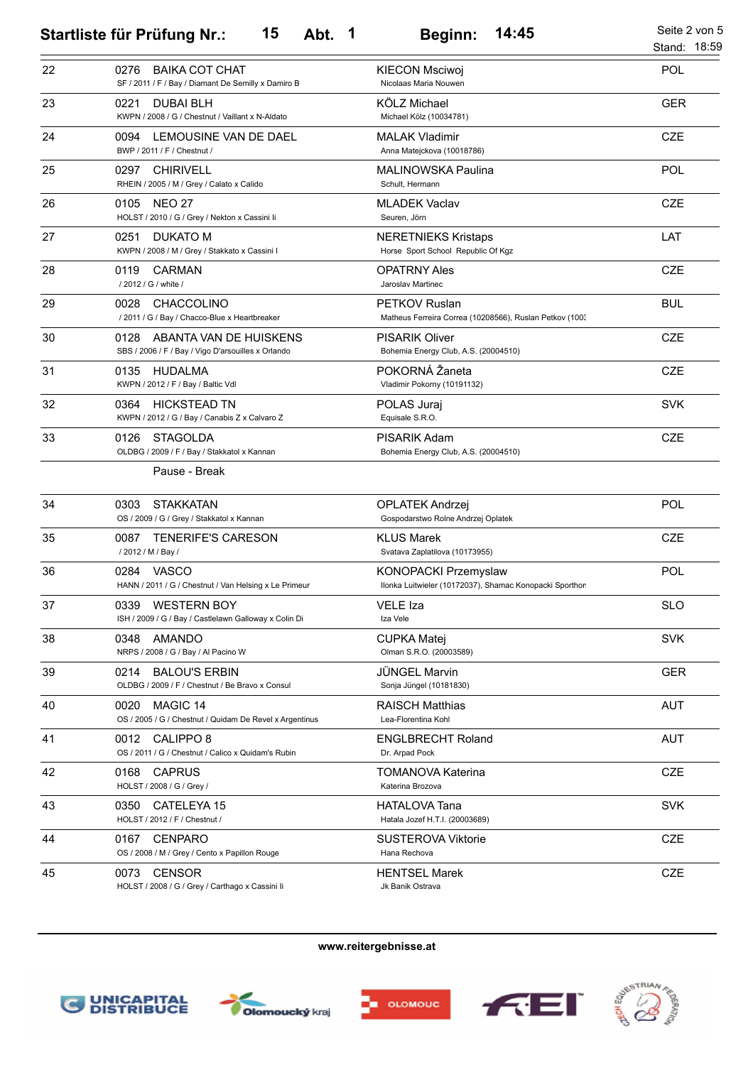|    | 15<br><b>Startliste für Prüfung Nr.:</b><br>Abt. 1                                   | 14:45<br>Beginn:                                                                | Seite 2 von 5<br>Stand: 18:59 |
|----|--------------------------------------------------------------------------------------|---------------------------------------------------------------------------------|-------------------------------|
| 22 | <b>BAIKA COT CHAT</b><br>0276<br>SF / 2011 / F / Bay / Diamant De Semilly x Damiro B | <b>KIECON Msciwoj</b><br>Nicolaas Maria Nouwen                                  | <b>POL</b>                    |
| 23 | 0221<br><b>DUBAI BLH</b><br>KWPN / 2008 / G / Chestnut / Vaillant x N-Aldato         | KÖLZ Michael<br>Michael Kölz (10034781)                                         | <b>GER</b>                    |
| 24 | 0094<br>LEMOUSINE VAN DE DAEL<br>BWP / 2011 / F / Chestnut /                         | <b>MALAK Vladimir</b><br>Anna Matejckova (10018786)                             | <b>CZE</b>                    |
| 25 | 0297<br><b>CHIRIVELL</b><br>RHEIN / 2005 / M / Grey / Calato x Calido                | MALINOWSKA Paulina<br>Schult, Hermann                                           | POL                           |
| 26 | 0105 NEO 27<br>HOLST / 2010 / G / Grey / Nekton x Cassini li                         | <b>MLADEK Vaclav</b><br>Seuren, Jörn                                            | <b>CZE</b>                    |
| 27 | 0251<br>DUKATO M<br>KWPN / 2008 / M / Grey / Stakkato x Cassini I                    | <b>NERETNIEKS Kristaps</b><br>Horse Sport School Republic Of Kgz                | LAT                           |
| 28 | 0119<br>CARMAN<br>/ 2012 / G / white /                                               | <b>OPATRNY Ales</b><br>Jaroslav Martinec                                        | <b>CZE</b>                    |
| 29 | <b>CHACCOLINO</b><br>0028<br>/ 2011 / G / Bay / Chacco-Blue x Heartbreaker           | <b>PETKOV Ruslan</b><br>Matheus Ferreira Correa (10208566), Ruslan Petkov (1003 | <b>BUL</b>                    |
| 30 | ABANTA VAN DE HUISKENS<br>0128<br>SBS / 2006 / F / Bay / Vigo D'arsouilles x Orlando | <b>PISARIK Oliver</b><br>Bohemia Energy Club, A.S. (20004510)                   | <b>CZE</b>                    |
| 31 | 0135 HUDALMA<br>KWPN / 2012 / F / Bay / Baltic Vdl                                   | POKORNÁ Žaneta<br>Vladimir Pokorny (10191132)                                   | <b>CZE</b>                    |
| 32 | 0364<br><b>HICKSTEAD TN</b><br>KWPN / 2012 / G / Bay / Canabis Z x Calvaro Z         | POLAS Juraj<br>Equisale S.R.O.                                                  | <b>SVK</b>                    |
| 33 | 0126<br><b>STAGOLDA</b><br>OLDBG / 2009 / F / Bay / Stakkatol x Kannan               | PISARIK Adam<br>Bohemia Energy Club, A.S. (20004510)                            | <b>CZE</b>                    |
|    | Pause - Break                                                                        |                                                                                 |                               |
| 34 | 0303<br><b>STAKKATAN</b><br>OS / 2009 / G / Grey / Stakkatol x Kannan                | <b>OPLATEK Andrzej</b><br>Gospodarstwo Rolne Andrzej Oplatek                    | <b>POL</b>                    |
| 35 | <b>TENERIFE'S CARESON</b><br>0087<br>/ 2012 / M / Bay /                              | <b>KLUS Marek</b><br>Svatava Zaplatilova (10173955)                             | <b>CZE</b>                    |
| 36 | 0284<br><b>VASCO</b><br>HANN / 2011 / G / Chestnut / Van Helsing x Le Primeur        | KONOPACKI Przemyslaw<br>Ilonka Luitwieler (10172037), Shamac Konopacki Sporthor | POL                           |
| 37 | 0339<br><b>WESTERN BOY</b><br>ISH / 2009 / G / Bay / Castlelawn Galloway x Colin Di  | VELE Iza<br>Iza Vele                                                            | <b>SLO</b>                    |
| 38 | AMANDO<br>0348<br>NRPS / 2008 / G / Bay / Al Pacino W                                | <b>CUPKA Matej</b><br>Olman S.R.O. (20003589)                                   | <b>SVK</b>                    |
| 39 | <b>BALOU'S ERBIN</b><br>0214<br>OLDBG / 2009 / F / Chestnut / Be Bravo x Consul      | <b>JÜNGEL Marvin</b><br>Sonja Jüngel (10181830)                                 | <b>GER</b>                    |
| 40 | 0020<br>MAGIC 14<br>OS / 2005 / G / Chestnut / Quidam De Revel x Argentinus          | RAISCH Matthias<br>Lea-Florentina Kohl                                          | <b>AUT</b>                    |
| 41 | 0012<br>CALIPPO 8<br>OS / 2011 / G / Chestnut / Calico x Quidam's Rubin              | <b>ENGLBRECHT Roland</b><br>Dr. Arpad Pock                                      | <b>AUT</b>                    |
| 42 | 0168<br><b>CAPRUS</b><br>HOLST / 2008 / G / Grey /                                   | <b>TOMANOVA Katerina</b><br>Katerina Brozova                                    | <b>CZE</b>                    |
| 43 | CATELEYA 15<br>0350<br>HOLST / 2012 / F / Chestnut /                                 | <b>HATALOVA Tana</b><br>Hatala Jozef H.T.I. (20003689)                          | <b>SVK</b>                    |
| 44 | 0167<br><b>CENPARO</b><br>OS / 2008 / M / Grey / Cento x Papillon Rouge              | <b>SUSTEROVA Viktorie</b><br>Hana Rechova                                       | <b>CZE</b>                    |
| 45 | <b>CENSOR</b><br>0073<br>HOLST / 2008 / G / Grey / Carthago x Cassini li             | <b>HENTSEL Marek</b><br>Jk Banik Ostrava                                        | <b>CZE</b>                    |









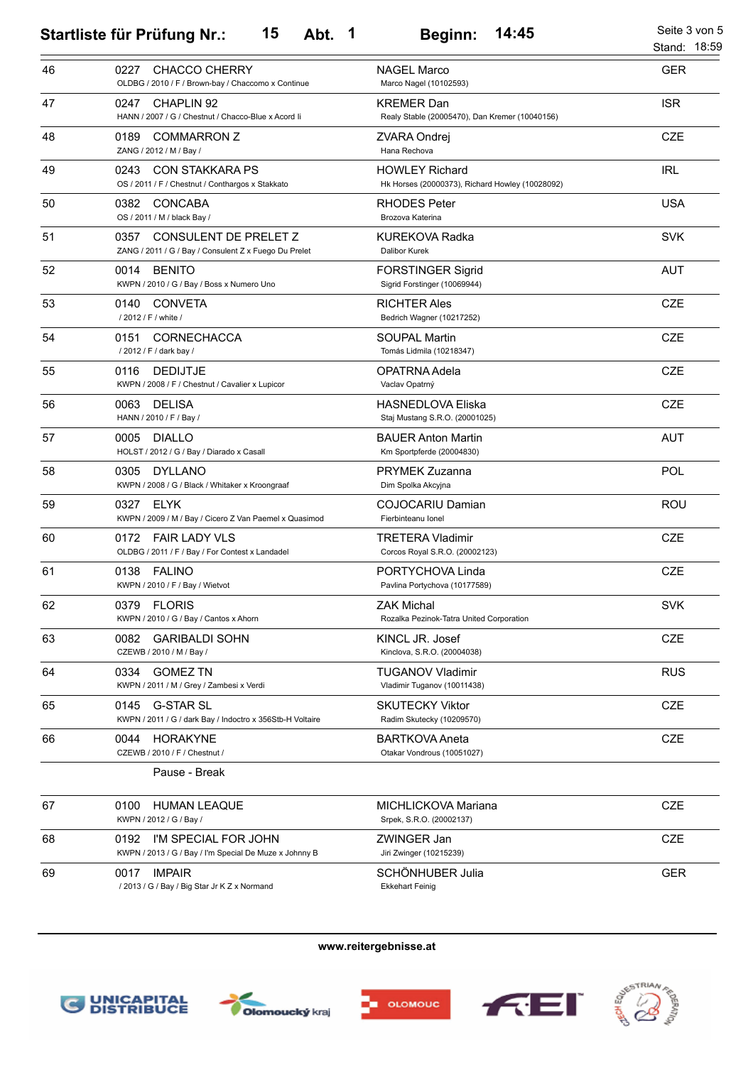|    | 15<br>Abt. 1<br><b>Startliste für Prüfung Nr.:</b>                                     | 14:45<br>Beginn:                                                         | Seite 3 von 5<br>Stand: 18:59 |
|----|----------------------------------------------------------------------------------------|--------------------------------------------------------------------------|-------------------------------|
| 46 | <b>CHACCO CHERRY</b><br>0227<br>OLDBG / 2010 / F / Brown-bay / Chaccomo x Continue     | <b>NAGEL Marco</b><br>Marco Nagel (10102593)                             | <b>GER</b>                    |
| 47 | CHAPLIN 92<br>0247<br>HANN / 2007 / G / Chestnut / Chacco-Blue x Acord li              | <b>KREMER Dan</b><br>Realy Stable (20005470), Dan Kremer (10040156)      | <b>ISR</b>                    |
| 48 | 0189<br><b>COMMARRON Z</b><br>ZANG / 2012 / M / Bay /                                  | ZVARA Ondrej<br>Hana Rechova                                             | <b>CZE</b>                    |
| 49 | 0243<br><b>CON STAKKARA PS</b><br>OS / 2011 / F / Chestnut / Conthargos x Stakkato     | <b>HOWLEY Richard</b><br>Hk Horses (20000373), Richard Howley (10028092) | <b>IRL</b>                    |
| 50 | 0382<br><b>CONCABA</b><br>OS / 2011 / M / black Bay /                                  | <b>RHODES Peter</b><br>Brozova Katerina                                  | <b>USA</b>                    |
| 51 | CONSULENT DE PRELET Z<br>0357<br>ZANG / 2011 / G / Bay / Consulent Z x Fuego Du Prelet | KUREKOVA Radka<br>Dalibor Kurek                                          | <b>SVK</b>                    |
| 52 | <b>BENITO</b><br>0014<br>KWPN / 2010 / G / Bay / Boss x Numero Uno                     | <b>FORSTINGER Sigrid</b><br>Sigrid Forstinger (10069944)                 | <b>AUT</b>                    |
| 53 | 0140<br><b>CONVETA</b><br>/ 2012 / F / white /                                         | <b>RICHTER Ales</b><br>Bedrich Wagner (10217252)                         | <b>CZE</b>                    |
| 54 | CORNECHACCA<br>0151<br>/ 2012 / F / dark bay /                                         | <b>SOUPAL Martin</b><br>Tomás Lidmila (10218347)                         | <b>CZE</b>                    |
| 55 | 0116<br><b>DEDIJTJE</b><br>KWPN / 2008 / F / Chestnut / Cavalier x Lupicor             | OPATRNA Adela<br>Vaclav Opatrný                                          | <b>CZE</b>                    |
| 56 | 0063<br><b>DELISA</b><br>HANN / 2010 / F / Bay /                                       | <b>HASNEDLOVA Eliska</b><br>Staj Mustang S.R.O. (20001025)               | <b>CZE</b>                    |
| 57 | 0005<br><b>DIALLO</b><br>HOLST / 2012 / G / Bay / Diarado x Casall                     | <b>BAUER Anton Martin</b><br>Km Sportpferde (20004830)                   | <b>AUT</b>                    |
| 58 | 0305<br><b>DYLLANO</b><br>KWPN / 2008 / G / Black / Whitaker x Kroongraaf              | <b>PRYMEK Zuzanna</b><br>Dim Spolka Akcyjna                              | POL                           |
| 59 | 0327<br><b>ELYK</b><br>KWPN / 2009 / M / Bay / Cicero Z Van Paemel x Quasimod          | COJOCARIU Damian<br>Fierbinteanu Ionel                                   | <b>ROU</b>                    |
| 60 | 0172<br><b>FAIR LADY VLS</b><br>OLDBG / 2011 / F / Bay / For Contest x Landadel        | <b>TRETERA Vladimir</b><br>Corcos Royal S.R.O. (20002123)                | <b>CZE</b>                    |
| 61 | 0138<br><b>FALINO</b><br>KWPN / 2010 / F / Bay / Wietvot                               | PORTYCHOVA Linda<br>Pavlina Portychova (10177589)                        | <b>CZE</b>                    |
| 62 | 0379<br><b>FLORIS</b><br>KWPN / 2010 / G / Bay / Cantos x Ahorn                        | <b>ZAK Michal</b><br>Rozalka Pezinok-Tatra United Corporation            | <b>SVK</b>                    |
| 63 | <b>GARIBALDI SOHN</b><br>0082<br>CZEWB / 2010 / M / Bay /                              | KINCL JR. Josef<br>Kinclova, S.R.O. (20004038)                           | <b>CZE</b>                    |
| 64 | <b>GOMEZ TN</b><br>0334<br>KWPN / 2011 / M / Grey / Zambesi x Verdi                    | <b>TUGANOV Vladimir</b><br>Vladimir Tuganov (10011438)                   | <b>RUS</b>                    |
| 65 | 0145<br><b>G-STAR SL</b><br>KWPN / 2011 / G / dark Bay / Indoctro x 356Stb-H Voltaire  | <b>SKUTECKY Viktor</b><br>Radim Skutecky (10209570)                      | <b>CZE</b>                    |
| 66 | 0044<br><b>HORAKYNE</b><br>CZEWB / 2010 / F / Chestnut /                               | <b>BARTKOVA Aneta</b><br>Otakar Vondrous (10051027)                      | <b>CZE</b>                    |
|    | Pause - Break                                                                          |                                                                          |                               |
| 67 | 0100<br><b>HUMAN LEAQUE</b><br>KWPN / 2012 / G / Bay /                                 | MICHLICKOVA Mariana<br>Srpek, S.R.O. (20002137)                          | <b>CZE</b>                    |
| 68 | I'M SPECIAL FOR JOHN<br>0192<br>KWPN / 2013 / G / Bay / I'm Special De Muze x Johnny B | ZWINGER Jan<br>Jiri Zwinger (10215239)                                   | <b>CZE</b>                    |
| 69 | <b>IMPAIR</b><br>0017<br>/ 2013 / G / Bay / Big Star Jr K Z x Normand                  | SCHÖNHUBER Julia<br><b>Ekkehart Feinig</b>                               | <b>GER</b>                    |









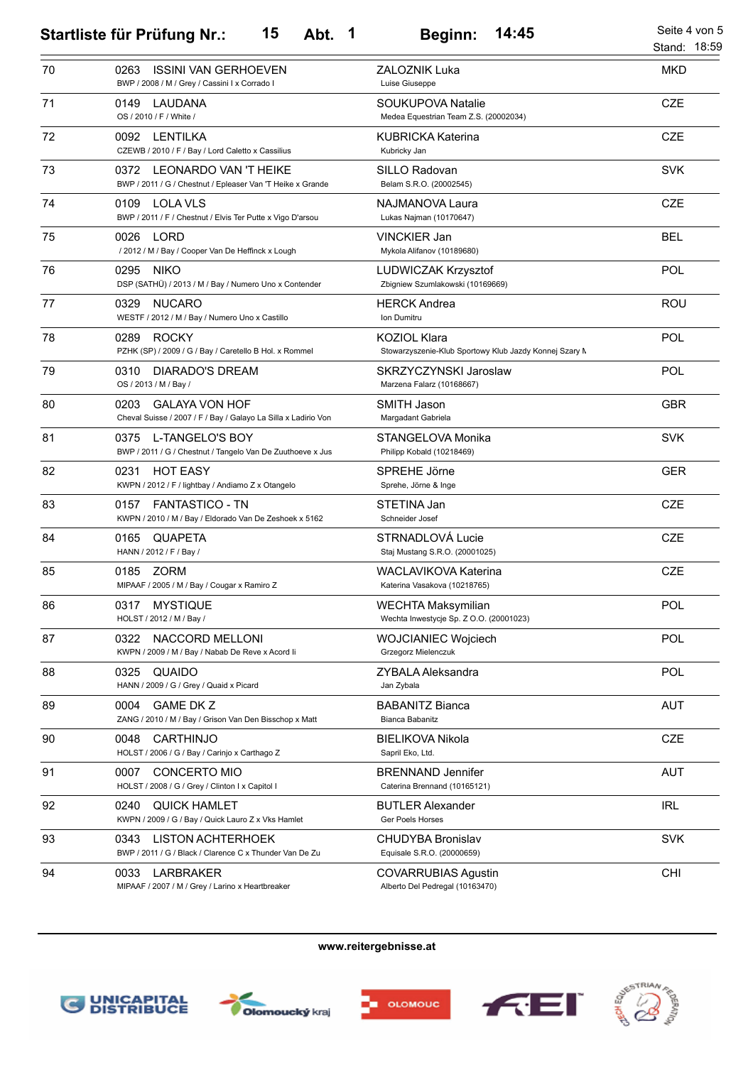|    | 15<br>Abt. 1<br><b>Startliste für Prüfung Nr.:</b>                                              | 14:45<br>Beginn:                                                       | Seite 4 von 5<br>Stand: 18:59 |
|----|-------------------------------------------------------------------------------------------------|------------------------------------------------------------------------|-------------------------------|
| 70 | 0263<br><b>ISSINI VAN GERHOEVEN</b><br>BWP / 2008 / M / Grey / Cassini I x Corrado I            | <b>ZALOZNIK Luka</b><br>Luise Giuseppe                                 | <b>MKD</b>                    |
| 71 | LAUDANA<br>0149<br>OS / 2010 / F / White /                                                      | SOUKUPOVA Natalie<br>Medea Equestrian Team Z.S. (20002034)             | <b>CZE</b>                    |
| 72 | 0092<br>LENTILKA<br>CZEWB / 2010 / F / Bay / Lord Caletto x Cassilius                           | KUBRICKA Katerina<br>Kubricky Jan                                      | <b>CZE</b>                    |
| 73 | LEONARDO VAN 'T HEIKE<br>0372<br>BWP / 2011 / G / Chestnut / Epleaser Van 'T Heike x Grande     | SILLO Radovan<br>Belam S.R.O. (20002545)                               | <b>SVK</b>                    |
| 74 | LOLA VLS<br>0109<br>BWP / 2011 / F / Chestnut / Elvis Ter Putte x Vigo D'arsou                  | NAJMANOVA Laura<br>Lukas Najman (10170647)                             | <b>CZE</b>                    |
| 75 | 0026<br>LORD<br>/ 2012 / M / Bay / Cooper Van De Heffinck x Lough                               | VINCKIER Jan<br>Mykola Alifanov (10189680)                             | <b>BEL</b>                    |
| 76 | 0295<br><b>NIKO</b><br>DSP (SATHÜ) / 2013 / M / Bay / Numero Uno x Contender                    | LUDWICZAK Krzysztof<br>Zbigniew Szumlakowski (10169669)                | POL                           |
| 77 | <b>NUCARO</b><br>0329<br>WESTF / 2012 / M / Bay / Numero Uno x Castillo                         | <b>HERCK Andrea</b><br>Ion Dumitru                                     | <b>ROU</b>                    |
| 78 | 0289<br><b>ROCKY</b><br>PZHK (SP) / 2009 / G / Bay / Caretello B Hol. x Rommel                  | KOZIOL Klara<br>Stowarzyszenie-Klub Sportowy Klub Jazdy Konnej Szary M | POL                           |
| 79 | 0310<br>DIARADO'S DREAM<br>OS / 2013 / M / Bay /                                                | SKRZYCZYNSKI Jaroslaw<br>Marzena Falarz (10168667)                     | POL                           |
| 80 | 0203<br><b>GALAYA VON HOF</b><br>Cheval Suisse / 2007 / F / Bay / Galayo La Silla x Ladirio Von | SMITH Jason<br>Margadant Gabriela                                      | <b>GBR</b>                    |
| 81 | <b>L-TANGELO'S BOY</b><br>0375<br>BWP / 2011 / G / Chestnut / Tangelo Van De Zuuthoeve x Jus    | STANGELOVA Monika<br>Philipp Kobald (10218469)                         | <b>SVK</b>                    |
| 82 | <b>HOT EASY</b><br>0231<br>KWPN / 2012 / F / lightbay / Andiamo Z x Otangelo                    | SPREHE Jörne<br>Sprehe, Jörne & Inge                                   | <b>GER</b>                    |
| 83 | <b>FANTASTICO - TN</b><br>0157<br>KWPN / 2010 / M / Bay / Eldorado Van De Zeshoek x 5162        | STETINA Jan<br>Schneider Josef                                         | <b>CZE</b>                    |
| 84 | <b>QUAPETA</b><br>0165<br>HANN / 2012 / F / Bay /                                               | STRNADLOVÁ Lucie<br>Staj Mustang S.R.O. (20001025)                     | <b>CZE</b>                    |
| 85 | 0185<br>ZORM<br>MIPAAF / 2005 / M / Bay / Cougar x Ramiro Z                                     | WACLAVIKOVA Katerina<br>Katerina Vasakova (10218765)                   | <b>CZE</b>                    |
| 86 | <b>MYSTIQUE</b><br>0317<br>HOLST / 2012 / M / Bay /                                             | <b>WECHTA Maksymilian</b><br>Wechta Inwestycje Sp. Z O.O. (20001023)   | POL                           |
| 87 | 0322<br><b>NACCORD MELLONI</b><br>KWPN / 2009 / M / Bay / Nabab De Reve x Acord Ii              | WOJCIANIEC Wojciech<br>Grzegorz Mielenczuk                             | POL                           |
| 88 | 0325<br>QUAIDO<br>HANN / 2009 / G / Grey / Quaid x Picard                                       | ZYBALA Aleksandra<br>Jan Zybala                                        | POL                           |
| 89 | 0004<br><b>GAME DK Z</b><br>ZANG / 2010 / M / Bay / Grison Van Den Bisschop x Matt              | <b>BABANITZ Bianca</b><br>Bianca Babanitz                              | <b>AUT</b>                    |
| 90 | 0048<br>CARTHINJO<br>HOLST / 2006 / G / Bay / Carinjo x Carthago Z                              | <b>BIELIKOVA Nikola</b><br>Sapril Eko, Ltd.                            | <b>CZE</b>                    |
| 91 | <b>CONCERTO MIO</b><br>0007<br>HOLST / 2008 / G / Grey / Clinton I x Capitol I                  | <b>BRENNAND Jennifer</b><br>Caterina Brennand (10165121)               | <b>AUT</b>                    |
| 92 | <b>QUICK HAMLET</b><br>0240<br>KWPN / 2009 / G / Bay / Quick Lauro Z x Vks Hamlet               | <b>BUTLER Alexander</b><br>Ger Poels Horses                            | <b>IRL</b>                    |
| 93 | 0343<br><b>LISTON ACHTERHOEK</b><br>BWP / 2011 / G / Black / Clarence C x Thunder Van De Zu     | <b>CHUDYBA Bronislav</b><br>Equisale S.R.O. (20000659)                 | <b>SVK</b>                    |
| 94 | 0033<br><b>LARBRAKER</b><br>MIPAAF / 2007 / M / Grey / Larino x Heartbreaker                    | <b>COVARRUBIAS Agustin</b><br>Alberto Del Pedregal (10163470)          | <b>CHI</b>                    |